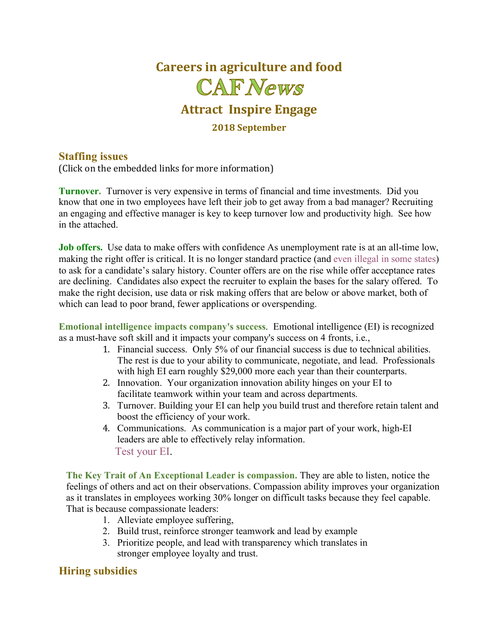

#### **Staffing issues**

(Click on the embedded links for more information)

**Turnover.** Turnover is very expensive in terms of financial and time investments. Did you know that one in two employees have left their job to get away from a bad manager? Recruiting an engaging and effective manager is key to keep turnover low and productivity high. See how in the attached.

**Job offers.** Use data to make offers with confidence As unemployment rate is at an all-time low, making the right offer is critical. It is no longer standard practice (and even illegal in some states) to ask for a candidate's salary history. Counter offers are on the rise while offer acceptance rates are declining. Candidates also expect the recruiter to explain the bases for the salary offered. To make the right decision, use data or risk making offers that are below or above market, both of which can lead to poor brand, fewer applications or overspending.

**Emotional intelligence impacts company's success**. Emotional intelligence (EI) is recognized as a must-have soft skill and it impacts your company's success on 4 fronts, i.e.,

- 1. Financial success. Only 5% of our financial success is due to technical abilities. The rest is due to your ability to communicate, negotiate, and lead. Professionals with high EI earn roughly \$29,000 more each year than their counterparts.
- 2. Innovation. Your organization innovation ability hinges on your EI to facilitate teamwork within your team and across departments.
- 3. Turnover. Building your EI can help you build trust and therefore retain talent and boost the efficiency of your work.
- 4. Communications. As communication is a major part of your work, high-EI leaders are able to effectively relay information. Test your EI.

**The Key Trait of An Exceptional Leader is compassion.** They are able to listen, notice the feelings of others and act on their observations. Compassion ability improves your organization as it translates in employees working 30% longer on difficult tasks because they feel capable. That is because compassionate leaders:

- 1. Alleviate employee suffering,
- 2. Build trust, reinforce stronger teamwork and lead by example
- 3. Prioritize people, and lead with transparency which translates in stronger employee loyalty and trust.

### **Hiring subsidies**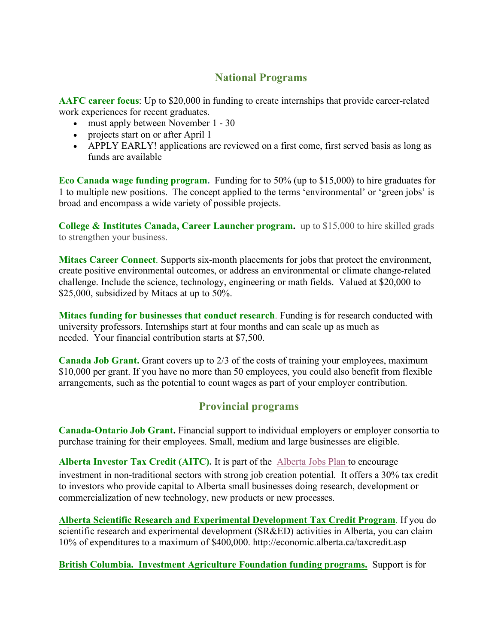## **National Programs**

**AAFC career focus**: Up to \$20,000 in funding to create internships that provide career-related work experiences for recent graduates.

- must apply between November 1 30
- projects start on or after April 1
- APPLY EARLY! applications are reviewed on a first come, first served basis as long as funds are available

**Eco Canada wage funding program.** Funding for to 50% (up to \$15,000) to hire graduates for 1 to multiple new positions. The concept applied to the terms 'environmental' or 'green jobs' is broad and encompass a wide variety of possible projects.

**College & Institutes Canada, Career Launcher program.** up to \$15,000 to hire skilled grads to strengthen your business.

**Mitacs Career Connect**. Supports six-month placements for jobs that protect the environment, create positive environmental outcomes, or address an environmental or climate change-related challenge. Include the science, technology, engineering or math fields. Valued at \$20,000 to \$25,000, subsidized by Mitacs at up to 50%.

**Mitacs funding for businesses that conduct research**. Funding is for research conducted with university professors. Internships start at four months and can scale up as much as needed. Your financial contribution starts at \$7,500.

**Canada Job Grant.** Grant covers up to 2/3 of the costs of training your employees, maximum \$10,000 per grant. If you have no more than 50 employees, you could also benefit from flexible arrangements, such as the potential to count wages as part of your employer contribution.

## **Provincial programs**

**Canada-Ontario Job Grant.** Financial support to individual employers or employer consortia to purchase training for their employees. Small, medium and large businesses are eligible.

**Alberta Investor Tax Credit (AITC).** It is part of the Alberta Jobs Plan to encourage investment in non-traditional sectors with strong job creation potential. It offers a 30% tax credit to investors who provide capital to Alberta small businesses doing research, development or commercialization of new technology, new products or new processes.

**Alberta Scientific Research and Experimental Development Tax Credit Program**. If you do scientific research and experimental development (SR&ED) activities in Alberta, you can claim 10% of expenditures to a maximum of \$400,000. http://economic.alberta.ca/taxcredit.asp

**British Columbia. Investment Agriculture Foundation funding programs.** Support is for